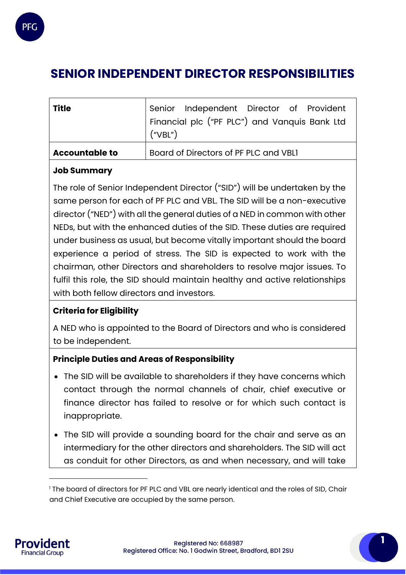

# **SENIOR INDEPENDENT DIRECTOR RESPONSIBILITIES**

| <b>Title</b>          | $\vert$ ("VBL") | Senior Independent Director of Provident<br>Financial plc ("PF PLC") and Vanquis Bank Ltd |  |  |
|-----------------------|-----------------|-------------------------------------------------------------------------------------------|--|--|
| <b>Accountable to</b> |                 | Board of Directors of PF PLC and VBL1                                                     |  |  |

#### **Job Summary**

The role of Senior Independent Director ("SID") will be undertaken by the same person for each of PF PLC and VBL. The SID will be a non-executive director ("NED") with all the general duties of a NED in common with other NEDs, but with the enhanced duties of the SID. These duties are required under business as usual, but become vitally important should the board experience a period of stress. The SID is expected to work with the chairman, other Directors and shareholders to resolve major issues. To fulfil this role, the SID should maintain healthy and active relationships with both fellow directors and investors.

## **Criteria for Eligibility**

A NED who is appointed to the Board of Directors and who is considered to be independent.

#### **Principle Duties and Areas of Responsibility**

- The SID will be available to shareholders if they have concerns which contact through the normal channels of chair, chief executive or finance director has failed to resolve or for which such contact is inappropriate.
- The SID will provide a sounding board for the chair and serve as an intermediary for the other directors and shareholders. The SID will act as conduit for other Directors, as and when necessary, and will take



 $\overline{a}$ 

<sup>&</sup>lt;sup>1</sup> The board of directors for PF PLC and VBL are nearly identical and the roles of SID, Chair and Chief Executive are occupied by the same person.